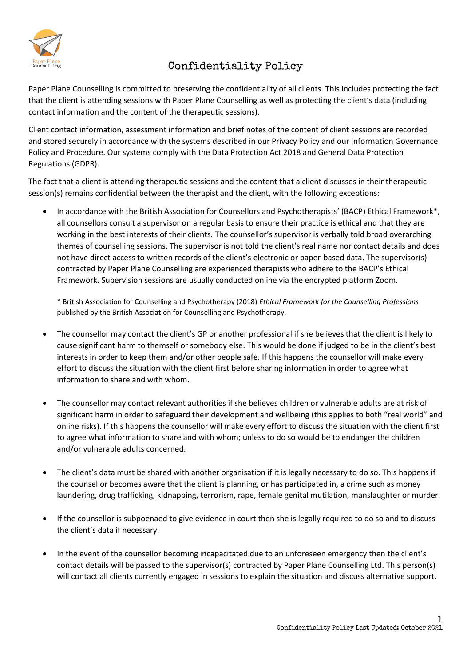

# Confidentiality Policy

Paper Plane Counselling is committed to preserving the confidentiality of all clients. This includes protecting the fact that the client is attending sessions with Paper Plane Counselling as well as protecting the client's data (including contact information and the content of the therapeutic sessions).

Client contact information, assessment information and brief notes of the content of client sessions are recorded and stored securely in accordance with the systems described in our Privacy Policy and our Information Governance Policy and Procedure. Our systems comply with the Data Protection Act 2018 and General Data Protection Regulations (GDPR).

The fact that a client is attending therapeutic sessions and the content that a client discusses in their therapeutic session(s) remains confidential between the therapist and the client, with the following exceptions:

• In accordance with the British Association for Counsellors and Psychotherapists' (BACP) Ethical Framework\*, all counsellors consult a supervisor on a regular basis to ensure their practice is ethical and that they are working in the best interests of their clients. The counsellor's supervisor is verbally told broad overarching themes of counselling sessions. The supervisor is not told the client's real name nor contact details and does not have direct access to written records of the client's electronic or paper-based data. The supervisor(s) contracted by Paper Plane Counselling are experienced therapists who adhere to the BACP's Ethical Framework. Supervision sessions are usually conducted online via the encrypted platform Zoom.

\* British Association for Counselling and Psychotherapy (2018) *Ethical Framework for the Counselling Professions* published by the British Association for Counselling and Psychotherapy.

- The counsellor may contact the client's GP or another professional if she believes that the client is likely to cause significant harm to themself or somebody else. This would be done if judged to be in the client's best interests in order to keep them and/or other people safe. If this happens the counsellor will make every effort to discuss the situation with the client first before sharing information in order to agree what information to share and with whom.
- The counsellor may contact relevant authorities if she believes children or vulnerable adults are at risk of significant harm in order to safeguard their development and wellbeing (this applies to both "real world" and online risks). If this happens the counsellor will make every effort to discuss the situation with the client first to agree what information to share and with whom; unless to do so would be to endanger the children and/or vulnerable adults concerned.
- The client's data must be shared with another organisation if it is legally necessary to do so. This happens if the counsellor becomes aware that the client is planning, or has participated in, a crime such as money laundering, drug trafficking, kidnapping, terrorism, rape, female genital mutilation, manslaughter or murder.
- If the counsellor is subpoenaed to give evidence in court then she is legally required to do so and to discuss the client's data if necessary.
- In the event of the counsellor becoming incapacitated due to an unforeseen emergency then the client's contact details will be passed to the supervisor(s) contracted by Paper Plane Counselling Ltd. This person(s) will contact all clients currently engaged in sessions to explain the situation and discuss alternative support.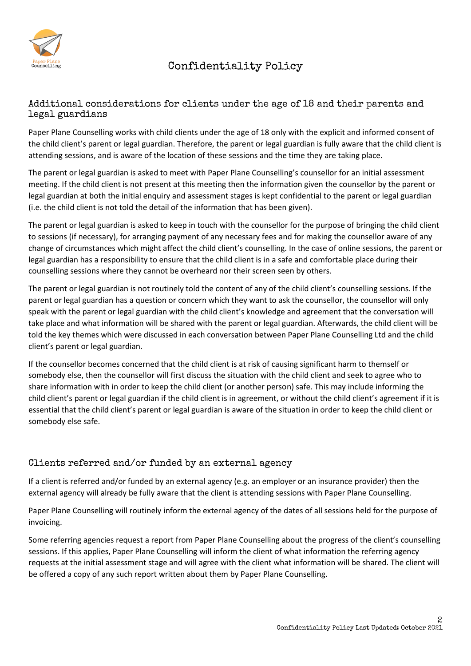

## Confidentiality Policy

### Additional considerations for clients under the age of 18 and their parents and legal guardians

Paper Plane Counselling works with child clients under the age of 18 only with the explicit and informed consent of the child client's parent or legal guardian. Therefore, the parent or legal guardian is fully aware that the child client is attending sessions, and is aware of the location of these sessions and the time they are taking place.

The parent or legal guardian is asked to meet with Paper Plane Counselling's counsellor for an initial assessment meeting. If the child client is not present at this meeting then the information given the counsellor by the parent or legal guardian at both the initial enquiry and assessment stages is kept confidential to the parent or legal guardian (i.e. the child client is not told the detail of the information that has been given).

The parent or legal guardian is asked to keep in touch with the counsellor for the purpose of bringing the child client to sessions (if necessary), for arranging payment of any necessary fees and for making the counsellor aware of any change of circumstances which might affect the child client's counselling. In the case of online sessions, the parent or legal guardian has a responsibility to ensure that the child client is in a safe and comfortable place during their counselling sessions where they cannot be overheard nor their screen seen by others.

The parent or legal guardian is not routinely told the content of any of the child client's counselling sessions. If the parent or legal guardian has a question or concern which they want to ask the counsellor, the counsellor will only speak with the parent or legal guardian with the child client's knowledge and agreement that the conversation will take place and what information will be shared with the parent or legal guardian. Afterwards, the child client will be told the key themes which were discussed in each conversation between Paper Plane Counselling Ltd and the child client's parent or legal guardian.

If the counsellor becomes concerned that the child client is at risk of causing significant harm to themself or somebody else, then the counsellor will first discuss the situation with the child client and seek to agree who to share information with in order to keep the child client (or another person) safe. This may include informing the child client's parent or legal guardian if the child client is in agreement, or without the child client's agreement if it is essential that the child client's parent or legal guardian is aware of the situation in order to keep the child client or somebody else safe.

### Clients referred and/or funded by an external agency

If a client is referred and/or funded by an external agency (e.g. an employer or an insurance provider) then the external agency will already be fully aware that the client is attending sessions with Paper Plane Counselling.

Paper Plane Counselling will routinely inform the external agency of the dates of all sessions held for the purpose of invoicing.

Some referring agencies request a report from Paper Plane Counselling about the progress of the client's counselling sessions. If this applies, Paper Plane Counselling will inform the client of what information the referring agency requests at the initial assessment stage and will agree with the client what information will be shared. The client will be offered a copy of any such report written about them by Paper Plane Counselling.